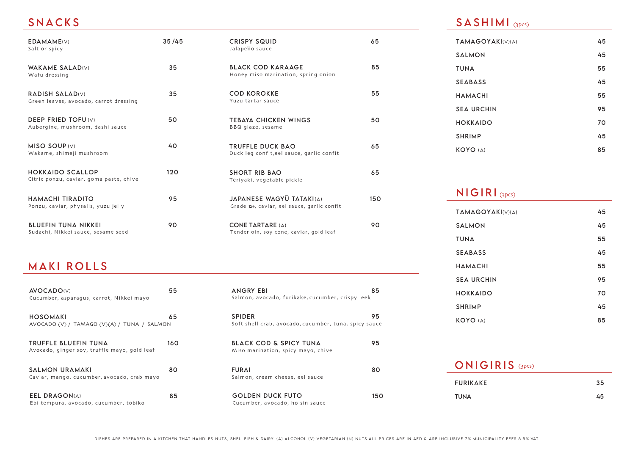## SNACKS

| EDAMAME(V)<br>Salt or spicy                                        | 35/45 | <b>CRISPY SQUID</b><br>Jalapeño sauce                                          | 65              |
|--------------------------------------------------------------------|-------|--------------------------------------------------------------------------------|-----------------|
| <b>WAKAME SALAD(V)</b><br>Wafu dressing                            | 35    | <b>BLACK COD KARAAGE</b><br>Honey miso marination, spring onion                | 85              |
| <b>RADISH SALAD(V)</b><br>Green leaves, avocado, carrot dressing   | 35    | <b>COD KOROKKE</b><br>Yuzu tartar sauce                                        | 55              |
| <b>DEEP FRIED TOFU(V)</b><br>Aubergine, mushroom, dashi sauce      | 50    | <b>TEBAYA CHICKEN WINGS</b><br>BBQ glaze, sesame                               | 50              |
| MISO SOUP (V)<br>Wakame, shimeji mushroom                          | 40    | <b>TRUFFLE DUCK BAO</b><br>Duck leg confit, eel sauce, garlic confit           | 65              |
| <b>HOKKAIDO SCALLOP</b><br>Citric ponzu, caviar, goma paste, chive | 120   | <b>SHORT RIB BAO</b><br>Teriyaki, vegetable pickle                             | 65              |
| HAMACHI TIRADITO<br>Ponzu, caviar, physalis, yuzu jelly            | 95    | <b>JAPANESE WAGYU TATAKI(A)</b><br>Grade 12+, caviar, eel sauce, garlic confit | 15 <sub>0</sub> |
| <b>BLUEFIN TUNA NIKKEI</b><br>Sudachi, Nikkei sauce, sesame seed   | 90    | CONE TARTARE (A)<br>Tenderloin, soy cone, caviar, gold leaf                    | 90              |

## MAKI ROLLS

| <b>AVOCADO(V)</b><br>Cucumber, asparagus, carrot, Nikkei mayo        | 55  |
|----------------------------------------------------------------------|-----|
| HOSOMAKI<br>AVOCADO (V) / TAMAGO (V)(A) / TUNA / SALMON              | 65  |
| TRUFFLE BLUEFIN TUNA<br>Avocado, ginger soy, truffle mayo, gold leaf | 160 |
| <b>SALMON URAMAKI</b><br>Caviar, mango, cucumber, avocado, crab mayo | 80  |
| <b>EEL DRAGON(A)</b><br>Ebi tempura, avocado, cucumber, tobiko       | 85  |

| <b>SPIDER</b><br>Soft shell crab, avocado, cucumber, tuna, spicy sauce | 95  |
|------------------------------------------------------------------------|-----|
| BLACK COD & SPICY TUNA<br>Miso marination, spicy mayo, chive           | 95  |
| <b>FURAI</b><br>Salmon, cream cheese, eel sauce                        | 80  |
| GOLDEN DUCK FUTO<br>Cucumber, avocado, hoisin sauce                    | 150 |

ANGRY EBI 85 Salmon, avocado, furikake, cucumber, crispy leek

#### $\mathsf{SASHIMI}_{\scriptscriptstyle \text{(3PCS)}}$

55

50

65

150

| <b>TAMAGOYAKI(V)(A)</b> | 45 |
|-------------------------|----|
| <b>SALMON</b>           | 45 |
| <b>TUNA</b>             | 55 |
| <b>SEABASS</b>          | 45 |
| HAMACHI                 | 55 |
| <b>SEA URCHIN</b>       | 95 |
| <b>HOKKAIDO</b>         | 70 |
| <b>SHRIMP</b>           | 45 |
| <b>KOYO</b> (A)         | 85 |
|                         |    |

## $\sf NIGIRI_{\texttt{(3PCS)}}$

| <b>TAMAGOYAKI</b> (V)(A) | 45 |
|--------------------------|----|
| <b>SALMON</b>            | 45 |
| <b>TUNA</b>              | 55 |
| <b>SEABASS</b>           | 45 |
| <b>HAMACHI</b>           | 55 |
| <b>SEA URCHIN</b>        | 95 |
| <b>HOKKAIDO</b>          | 70 |
| <b>SHRIMP</b>            | 45 |
| <b>KOYO</b> (A)          | 85 |

| <b>ONIGIRIS</b> (3pcs) |    |
|------------------------|----|
| <b>FURIKAKE</b>        | 35 |
| TUNA                   | 45 |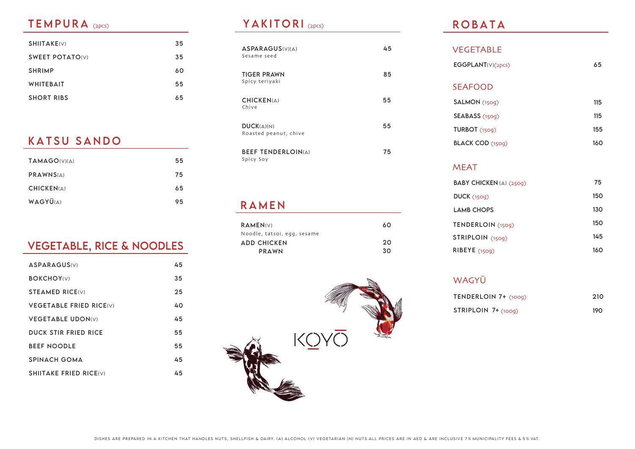| SHIITAKE(V)            | 35 |
|------------------------|----|
| <b>SWEET POTATO(V)</b> | 35 |
| <b>SHRIMP</b>          | 60 |
| <b>WHITEBAIT</b>       | 55 |
| <b>SHORT RIBS</b>      | 65 |

## KATSU SANDO

| <b>TAMAGO(V)(A)</b> | 55 |
|---------------------|----|
| PRAWNS(A)           | 75 |
| <b>CHICKEN(A)</b>   | 65 |
| WAGYU(A)            | 95 |

# VEGETABLE, RICE & NOODLES

| <b>ASPARAGUS(V)</b>            | 45 |
|--------------------------------|----|
| <b>BOKCHOY(V)</b>              | 35 |
| <b>STEAMED RICE(V)</b>         | 25 |
| <b>VEGETABLE FRIED RICE(V)</b> | 40 |
| <b>VEGETABLE UDON(V)</b>       | 45 |
| DUCK STIR FRIED RICE           | 55 |
| <b>BEEF NOODLE</b>             | 55 |
| <b>SPINACH GOMA</b>            | 45 |
| <b>SHIITAKE FRIED RICE(V)</b>  | 45 |
|                                |    |

#### TEMPURA (2pcs) (2pcs) YAKITORI

| <b>ASPARAGUS</b> (V)(A)<br>Sesame seed | 45 |
|----------------------------------------|----|
| <b>TIGER PRAWN</b><br>Spicy teriyaki   | 85 |
| CHICKEN(A)<br>Chive                    | 55 |
| DUCK(A)(N)<br>Roasted peanut, chive    | 55 |
| <b>BEEF TENDERLOIN(A)</b><br>Spicy Soy | 75 |

### RAMEN

| RAMEN(V)                    | 60 |
|-----------------------------|----|
| Noodle, tatsoi, egg, sesame |    |
| <b>ADD CHICKEN</b>          | 20 |
| <b>PRAWN</b>                | 30 |



### ROBATA

| <b>VEGETABLE</b>  |     |
|-------------------|-----|
| EGGPLANT(V)(2pcs) | 65  |
|                   |     |
| <b>SEAFOOD</b>    |     |
| SALMON (1509)     | 115 |
|                   |     |
| SEABASS (150g)    | 115 |
| TURBOT $(150q)$   | 155 |
| BLACK COD (1509)  | 160 |
|                   |     |

#### MEAT

| BABY CHICKEN (A) (2509) | 75  |
|-------------------------|-----|
| DUCK (150q)             | 150 |
| <b>LAMB CHOPS</b>       | 130 |
| TENDERLOIN (1509)       | 150 |
| STRIPLOIN (1509)        | 145 |
| RIBEYE(1509)            | 160 |

WAGYŪ

| TENDERLOIN 7+ (1009)    | -210 |
|-------------------------|------|
| $STRIPLOIN$ 7+ $(100q)$ | 190  |